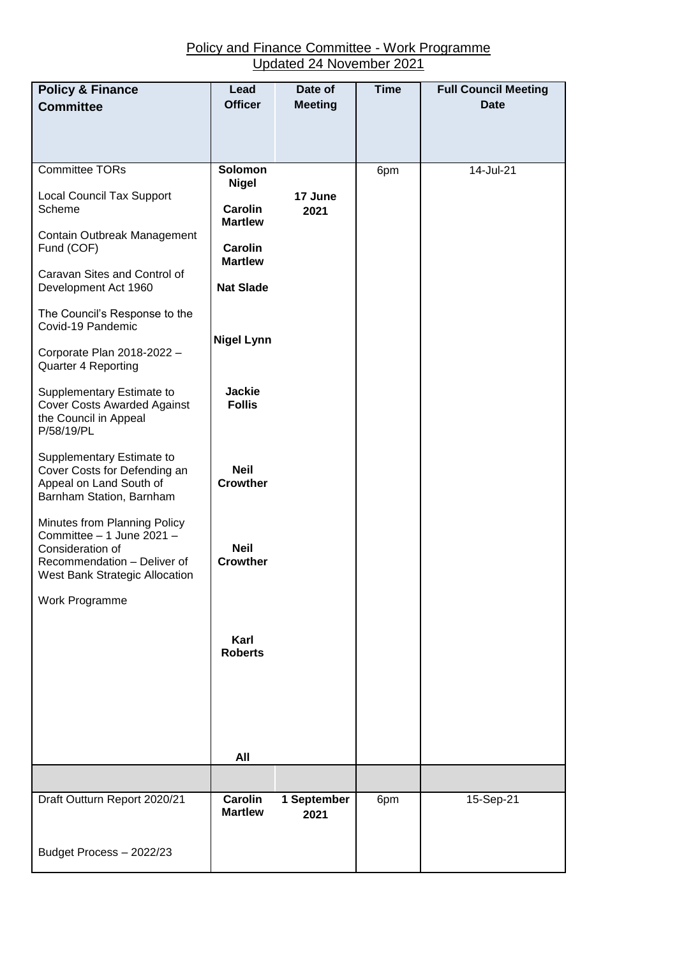## Policy and Finance Committee - Work Programme Updated 24 November 2021

| <b>Policy &amp; Finance</b>                                                                                                                    | Lead<br><b>Officer</b>           | Date of<br><b>Meeting</b> | <b>Time</b> | <b>Full Council Meeting</b><br><b>Date</b> |
|------------------------------------------------------------------------------------------------------------------------------------------------|----------------------------------|---------------------------|-------------|--------------------------------------------|
| <b>Committee</b>                                                                                                                               |                                  |                           |             |                                            |
|                                                                                                                                                |                                  |                           |             |                                            |
| <b>Committee TORs</b>                                                                                                                          | <b>Solomon</b><br><b>Nigel</b>   |                           | 6pm         | 14-Jul-21                                  |
| <b>Local Council Tax Support</b><br>Scheme                                                                                                     | <b>Carolin</b><br><b>Martlew</b> | 17 June<br>2021           |             |                                            |
| Contain Outbreak Management<br>Fund (COF)                                                                                                      | <b>Carolin</b><br><b>Martlew</b> |                           |             |                                            |
| Caravan Sites and Control of<br>Development Act 1960                                                                                           | <b>Nat Slade</b>                 |                           |             |                                            |
| The Council's Response to the<br>Covid-19 Pandemic                                                                                             |                                  |                           |             |                                            |
| Corporate Plan 2018-2022 -<br>Quarter 4 Reporting                                                                                              | <b>Nigel Lynn</b>                |                           |             |                                            |
| Supplementary Estimate to<br><b>Cover Costs Awarded Against</b><br>the Council in Appeal<br>P/58/19/PL                                         | <b>Jackie</b><br><b>Follis</b>   |                           |             |                                            |
| Supplementary Estimate to<br>Cover Costs for Defending an<br>Appeal on Land South of<br>Barnham Station, Barnham                               | <b>Neil</b><br><b>Crowther</b>   |                           |             |                                            |
| Minutes from Planning Policy<br>Committee - 1 June 2021 -<br>Consideration of<br>Recommendation - Deliver of<br>West Bank Strategic Allocation | <b>Neil</b><br><b>Crowther</b>   |                           |             |                                            |
| Work Programme                                                                                                                                 |                                  |                           |             |                                            |
|                                                                                                                                                | Karl<br><b>Roberts</b>           |                           |             |                                            |
|                                                                                                                                                |                                  |                           |             |                                            |
|                                                                                                                                                |                                  |                           |             |                                            |
|                                                                                                                                                | All                              |                           |             |                                            |
|                                                                                                                                                |                                  |                           |             |                                            |
| Draft Outturn Report 2020/21                                                                                                                   | Carolin<br><b>Martlew</b>        | 1 September<br>2021       | 6pm         | 15-Sep-21                                  |
| Budget Process - 2022/23                                                                                                                       |                                  |                           |             |                                            |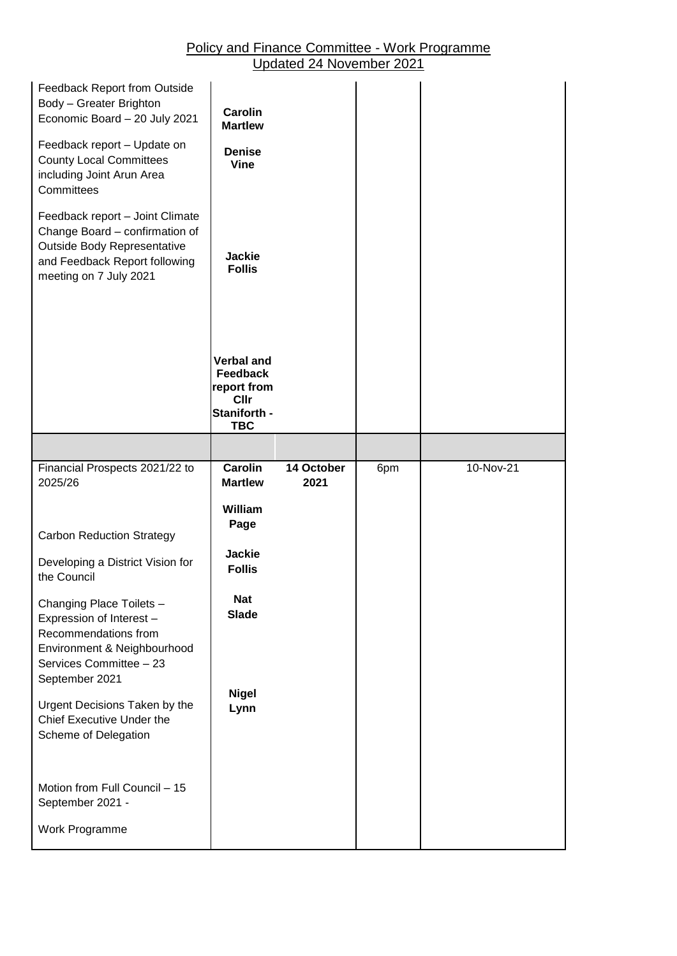## Policy and Finance Committee - Work Programme Updated 24 November 2021

| Feedback Report from Outside<br>Body - Greater Brighton<br>Economic Board - 20 July 2021<br>Feedback report - Update on<br><b>County Local Committees</b><br>including Joint Arun Area<br>Committees<br>Feedback report - Joint Climate<br>Change Board - confirmation of<br>Outside Body Representative<br>and Feedback Report following<br>meeting on 7 July 2021 | <b>Carolin</b><br><b>Martlew</b><br><b>Denise</b><br><b>Vine</b><br><b>Jackie</b><br><b>Follis</b> |            |     |           |
|---------------------------------------------------------------------------------------------------------------------------------------------------------------------------------------------------------------------------------------------------------------------------------------------------------------------------------------------------------------------|----------------------------------------------------------------------------------------------------|------------|-----|-----------|
|                                                                                                                                                                                                                                                                                                                                                                     | <b>Verbal and</b><br><b>Feedback</b><br>report from<br><b>Cllr</b><br>Staniforth -<br><b>TBC</b>   |            |     |           |
|                                                                                                                                                                                                                                                                                                                                                                     |                                                                                                    |            |     |           |
| Financial Prospects 2021/22 to                                                                                                                                                                                                                                                                                                                                      | <b>Carolin</b>                                                                                     | 14 October | 6pm | 10-Nov-21 |
| 2025/26                                                                                                                                                                                                                                                                                                                                                             | <b>Martlew</b>                                                                                     | 2021       |     |           |
| <b>Carbon Reduction Strategy</b>                                                                                                                                                                                                                                                                                                                                    | William<br>Page                                                                                    |            |     |           |
| Developing a District Vision for<br>the Council                                                                                                                                                                                                                                                                                                                     | <b>Jackie</b><br><b>Follis</b>                                                                     |            |     |           |
| Changing Place Toilets -<br>Expression of Interest -<br>Recommendations from<br>Environment & Neighbourhood<br>Services Committee - 23<br>September 2021                                                                                                                                                                                                            | <b>Nat</b><br><b>Slade</b><br><b>Nigel</b>                                                         |            |     |           |
| Urgent Decisions Taken by the<br>Chief Executive Under the<br>Scheme of Delegation<br>Motion from Full Council - 15<br>September 2021 -                                                                                                                                                                                                                             | Lynn                                                                                               |            |     |           |